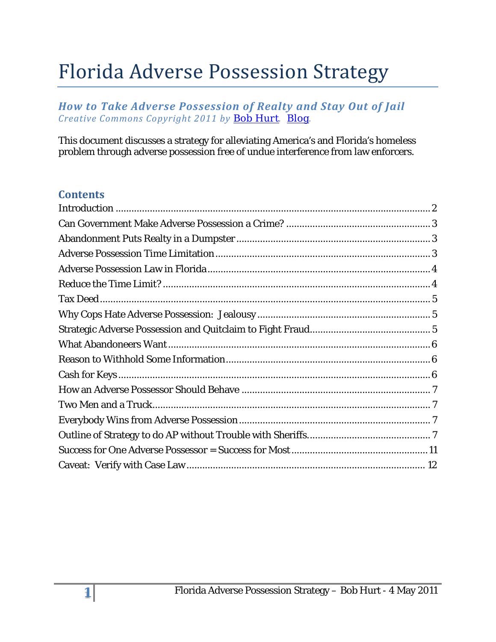# Florida Adverse Possession Strategy

#### *How to Take Adverse Possession of Realty and Stay Out of Jail Creative Commons Copyright 2011 by [Bob Hurt](http://bobhurt.com/). [Blog](http://bobhurt.blogspot.com/).*

This document discusses a strategy for alleviating America's and Florida's homeless problem through adverse possession free of undue interference from law enforcers.

#### **Contents**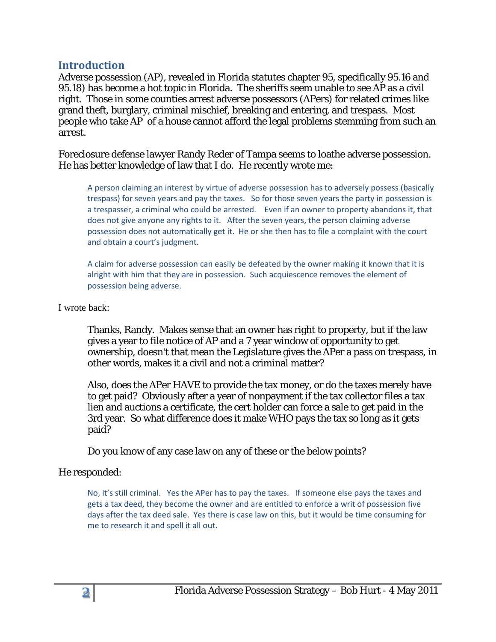#### <span id="page-1-0"></span>**Introduction**

Adverse possession (AP), revealed in Florida statutes chapter 95, specifically 95.16 and 95.18) has become a hot topic in Florida. The sheriffs seem unable to see AP as a civil right. Those in some counties arrest adverse possessors (APers) for related crimes like grand theft, burglary, criminal mischief, breaking and entering, and trespass. Most people who take AP of a house cannot afford the legal problems stemming from such an arrest.

Foreclosure defense lawyer Randy Reder of Tampa seems to loathe adverse possession. He has better knowledge of law that I do. He recently wrote me:

A person claiming an interest by virtue of adverse possession has to adversely possess (basically trespass) for seven years and pay the taxes. So for those seven years the party in possession is a trespasser, a criminal who could be arrested. Even if an owner to property abandons it, that does not give anyone any rights to it. After the seven years, the person claiming adverse possession does not automatically get it. He or she then has to file a complaint with the court and obtain a court's judgment.

A claim for adverse possession can easily be defeated by the owner making it known that it is alright with him that they are in possession. Such acquiescence removes the element of possession being adverse.

#### I wrote back:

Thanks, Randy. Makes sense that an owner has right to property, but if the law gives a year to file notice of AP and a 7 year window of opportunity to get ownership, doesn't that mean the Legislature gives the APer a pass on trespass, in other words, makes it a civil and not a criminal matter?

Also, does the APer HAVE to provide the tax money, or do the taxes merely have to get paid? Obviously after a year of nonpayment if the tax collector files a tax lien and auctions a certificate, the cert holder can force a sale to get paid in the 3rd year. So what difference does it make WHO pays the tax so long as it gets paid?

Do you know of any case law on any of these or the below points?

#### He responded:

No, it's still criminal. Yes the APer has to pay the taxes. If someone else pays the taxes and gets a tax deed, they become the owner and are entitled to enforce a writ of possession five days after the tax deed sale. Yes there is case law on this, but it would be time consuming for me to research it and spell it all out.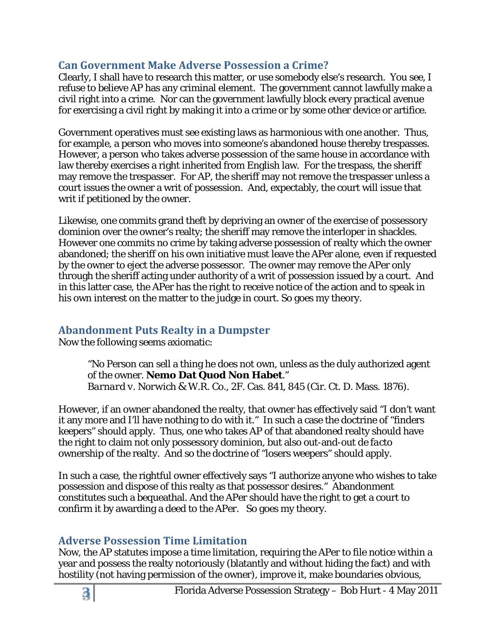# <span id="page-2-0"></span>**Can Government Make Adverse Possession a Crime?**

Clearly, I shall have to research this matter, or use somebody else's research. You see, I refuse to believe AP has any criminal element. The government cannot lawfully make a civil right into a crime. Nor can the government lawfully block every practical avenue for exercising a civil right by making it into a crime or by some other device or artifice.

Government operatives must see existing laws as harmonious with one another. Thus, for example, a person who moves into someone's abandoned house thereby trespasses. However, a person who takes adverse possession of the same house in accordance with law thereby exercises a right inherited from English law. For the trespass, the sheriff may remove the trespasser. For AP, the sheriff may not remove the trespasser unless a court issues the owner a writ of possession. And, expectably, the court will issue that writ if petitioned by the owner.

Likewise, one commits grand theft by depriving an owner of the exercise of possessory dominion over the owner's realty; the sheriff may remove the interloper in shackles. However one commits no crime by taking adverse possession of realty which the owner abandoned; the sheriff on his own initiative must leave the APer alone, even if requested by the owner to eject the adverse possessor. The owner may remove the APer only through the sheriff acting under authority of a writ of possession issued by a court. And in this latter case, the APer has the right to receive notice of the action and to speak in his own interest on the matter to the judge in court. So goes my theory.

# <span id="page-2-1"></span>**Abandonment Puts Realty in a Dumpster**

Now the following seems axiomatic:

"No Person can sell a thing he does not own, unless as the duly authorized agent of the owner. **Nemo Dat Quod Non Habet**." *Barnard v. Norwich & W.R. Co.,* 2F. Cas. 841, 845 (Cir. Ct. D. Mass. 1876).

However, if an owner abandoned the realty, that owner has effectively said "I don't want it any more and I'll have nothing to do with it." In such a case the doctrine of "finders keepers" should apply. Thus, one who takes AP of that abandoned realty should have the right to claim not only possessory dominion, but also out-and-out *de facto* ownership of the realty. And so the doctrine of "losers weepers" should apply.

In such a case, the rightful owner effectively says "I authorize anyone who wishes to take possession and dispose of this realty as that possessor desires." Abandonment constitutes such a bequeathal. And the APer should have the right to get a court to confirm it by awarding a deed to the APer. So goes my theory.

# <span id="page-2-2"></span>**Adverse Possession Time Limitation**

Now, the AP statutes impose a time limitation, requiring the APer to file notice within a year and possess the realty notoriously (blatantly and without hiding the fact) and with hostility (not having permission of the owner), improve it, make boundaries obvious,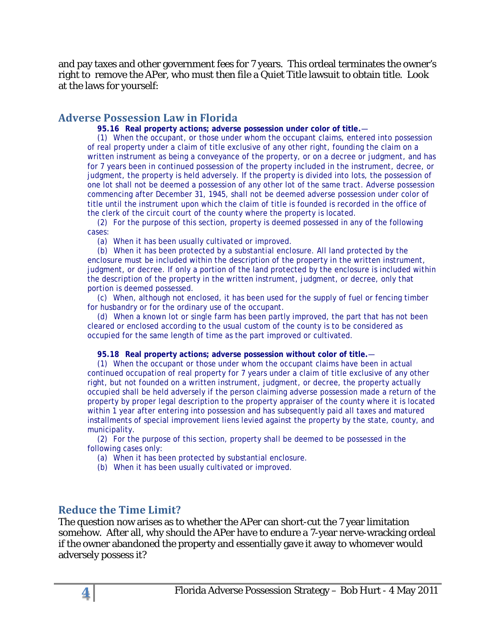and pay taxes and other government fees for 7 years. This ordeal terminates the owner's right to remove the APer, who must then file a Quiet Title lawsuit to obtain title. Look at the laws for yourself:

#### <span id="page-3-0"></span>**Adverse Possession Law in Florida**

**95.16 Real property actions; adverse possession under color of title.**—

(1) When the occupant, or those under whom the occupant claims, entered into possession of real property under a claim of title exclusive of any other right, founding the claim on a written instrument as being a conveyance of the property, or on a decree or judgment, and has for 7 years been in continued possession of the property included in the instrument, decree, or judgment, the property is held adversely. If the property is divided into lots, the possession of one lot shall not be deemed a possession of any other lot of the same tract. Adverse possession commencing after December 31, 1945, shall not be deemed adverse possession under color of title until the instrument upon which the claim of title is founded is recorded in the office of the clerk of the circuit court of the county where the property is located.

(2) For the purpose of this section, property is deemed possessed in any of the following cases:

(a) When it has been usually cultivated or improved.

(b) When it has been protected by a substantial enclosure. All land protected by the enclosure must be included within the description of the property in the written instrument, judgment, or decree. If only a portion of the land protected by the enclosure is included within the description of the property in the written instrument, judgment, or decree, only that portion is deemed possessed.

(c) When, although not enclosed, it has been used for the supply of fuel or fencing timber for husbandry or for the ordinary use of the occupant.

(d) When a known lot or single farm has been partly improved, the part that has not been cleared or enclosed according to the usual custom of the county is to be considered as occupied for the same length of time as the part improved or cultivated.

**95.18 Real property actions; adverse possession without color of title.**—

(1) When the occupant or those under whom the occupant claims have been in actual continued occupation of real property for 7 years under a claim of title exclusive of any other right, but not founded on a written instrument, judgment, or decree, the property actually occupied shall be held adversely if the person claiming adverse possession made a return of the property by proper legal description to the property appraiser of the county where it is located within 1 year after entering into possession and has subsequently paid all taxes and matured installments of special improvement liens levied against the property by the state, county, and municipality.

(2) For the purpose of this section, property shall be deemed to be possessed in the following cases only:

(a) When it has been protected by substantial enclosure.

(b) When it has been usually cultivated or improved.

#### <span id="page-3-1"></span>**Reduce the Time Limit?**

The question now arises as to whether the APer can short-cut the 7 year limitation somehow. After all, why should the APer have to endure a 7-year nerve-wracking ordeal if the owner abandoned the property and essentially gave it away to whomever would adversely possess it?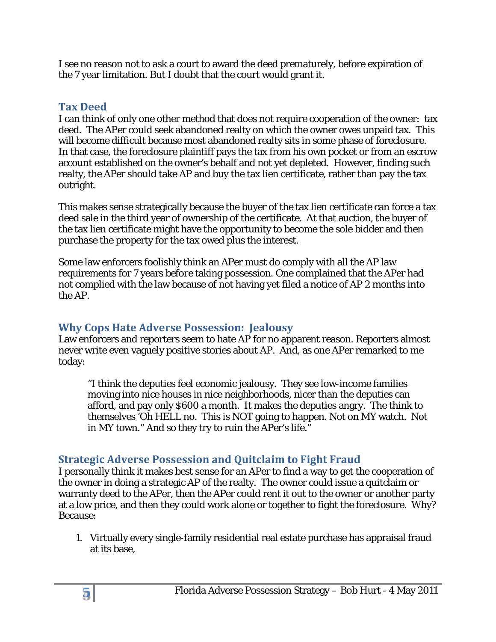I see no reason not to ask a court to award the deed prematurely, before expiration of the 7 year limitation. But I doubt that the court would grant it.

# <span id="page-4-0"></span>**Tax Deed**

I can think of only one other method that does not require cooperation of the owner: tax deed. The APer could seek abandoned realty on which the owner owes unpaid tax. This will become difficult because most abandoned realty sits in some phase of foreclosure. In that case, the foreclosure plaintiff pays the tax from his own pocket or from an escrow account established on the owner's behalf and not yet depleted. However, finding such realty, the APer should take AP and buy the tax lien certificate, rather than pay the tax outright.

This makes sense strategically because the buyer of the tax lien certificate can force a tax deed sale in the third year of ownership of the certificate. At that auction, the buyer of the tax lien certificate might have the opportunity to become the sole bidder and then purchase the property for the tax owed plus the interest.

Some law enforcers foolishly think an APer must do comply with all the AP law requirements for 7 years *before* taking possession. One complained that the APer had not complied with the law because of not having yet filed a notice of AP 2 months into the AP.

# <span id="page-4-1"></span>**Why Cops Hate Adverse Possession: Jealousy**

Law enforcers and reporters seem to hate AP for no apparent reason. Reporters almost never write even vaguely positive stories about AP. And, as one APer remarked to me today:

"I think the deputies feel economic jealousy. They see low-income families moving into nice houses in nice neighborhoods, nicer than the deputies can afford, and pay only \$600 a month. It makes the deputies angry. The think to themselves 'Oh HELL no. This is NOT going to happen. Not on MY watch. Not in MY town." And so they try to ruin the APer's life."

# <span id="page-4-2"></span>**Strategic Adverse Possession and Quitclaim to Fight Fraud**

I personally think it makes best sense for an APer to find a way to get the cooperation of the owner in doing a strategic AP of the realty. The owner could issue a quitclaim or warranty deed to the APer, then the APer could rent it out to the owner or another party at a low price, and then they could work alone or together to fight the foreclosure. Why? Because:

1. Virtually every single-family residential real estate purchase has appraisal fraud at its base,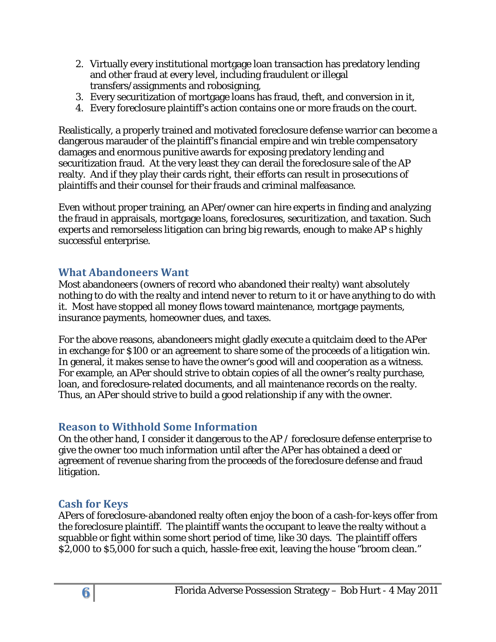- 2. Virtually every institutional mortgage loan transaction has predatory lending and other fraud at every level, including fraudulent or illegal transfers/assignments and robosigning,
- 3. Every securitization of mortgage loans has fraud, theft, and conversion in it,
- 4. Every foreclosure plaintiff's action contains one or more frauds on the court.

Realistically, a properly trained and motivated foreclosure defense warrior can become a dangerous marauder of the plaintiff's financial empire and win treble compensatory damages and enormous punitive awards for exposing predatory lending and securitization fraud. At the very least they can derail the foreclosure sale of the AP realty. And if they play their cards right, their efforts can result in prosecutions of plaintiffs and their counsel for their frauds and criminal malfeasance.

Even without proper training, an APer/owner can hire experts in finding and analyzing the fraud in appraisals, mortgage loans, foreclosures, securitization, and taxation. Such experts and remorseless litigation can bring big rewards, enough to make AP s highly successful enterprise.

#### <span id="page-5-0"></span>**What Abandoneers Want**

Most abandoneers (owners of record who abandoned their realty) want absolutely nothing to do with the realty and intend never to return to it or have anything to do with it. Most have stopped all money flows toward maintenance, mortgage payments, insurance payments, homeowner dues, and taxes.

For the above reasons, abandoneers might gladly execute a quitclaim deed to the APer in exchange for \$100 or an agreement to share some of the proceeds of a litigation win. In general, it makes sense to have the owner's good will and cooperation as a witness. For example, an APer should strive to obtain copies of all the owner's realty purchase, loan, and foreclosure-related documents, and all maintenance records on the realty. Thus, an APer should strive to build a good relationship if any with the owner.

#### <span id="page-5-1"></span>**Reason to Withhold Some Information**

On the other hand, I consider it dangerous to the AP / foreclosure defense enterprise to give the owner too much information until after the APer has obtained a deed or agreement of revenue sharing from the proceeds of the foreclosure defense and fraud litigation.

#### <span id="page-5-2"></span>**Cash for Keys**

APers of foreclosure-abandoned realty often enjoy the boon of a cash-for-keys offer from the foreclosure plaintiff. The plaintiff wants the occupant to leave the realty without a squabble or fight within some short period of time, like 30 days. The plaintiff offers \$2,000 to \$5,000 for such a quich, hassle-free exit, leaving the house "broom clean."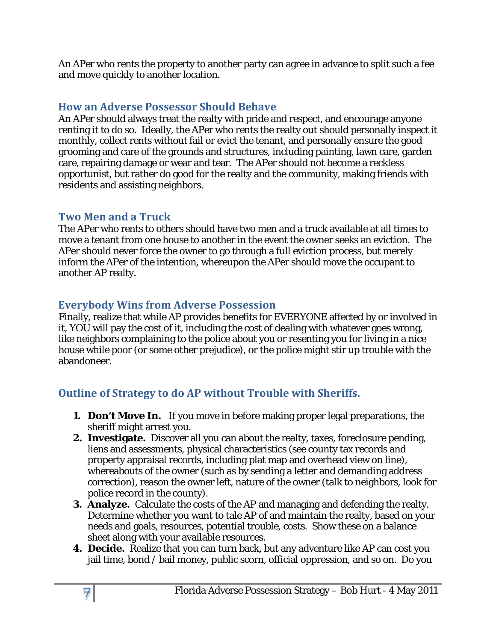An APer who rents the property to another party can agree in advance to split such a fee and move quickly to another location.

#### <span id="page-6-0"></span>**How an Adverse Possessor Should Behave**

An APer should always treat the realty with pride and respect, and encourage anyone renting it to do so. Ideally, the APer who rents the realty out should personally inspect it monthly, collect rents without fail or evict the tenant, and personally ensure the good grooming and care of the grounds and structures, including painting, lawn care, garden care, repairing damage or wear and tear. The APer should not become a reckless opportunist, but rather do good for the realty and the community, making friends with residents and assisting neighbors.

# <span id="page-6-1"></span>**Two Men and a Truck**

The APer who rents to others should have two men and a truck available at all times to move a tenant from one house to another in the event the owner seeks an eviction. The APer should never force the owner to go through a full eviction process, but merely inform the APer of the intention, whereupon the APer should move the occupant to another AP realty.

# <span id="page-6-2"></span>**Everybody Wins from Adverse Possession**

Finally, realize that while AP provides benefits for EVERYONE affected by or involved in it, YOU will pay the cost of it, including the cost of dealing with whatever goes wrong, like neighbors complaining to the police about you or resenting you for living in a nice house while poor (or some other prejudice), or the police might stir up trouble with the abandoneer.

# <span id="page-6-3"></span>**Outline of Strategy to do AP without Trouble with Sheriffs.**

- **1. Don't Move In.** If you move in before making proper legal preparations, the sheriff might arrest you.
- **2. Investigate.** Discover all you can about the realty, taxes, foreclosure pending, liens and assessments, physical characteristics (see county tax records and property appraisal records, including plat map and overhead view on line), whereabouts of the owner (such as by sending a letter and demanding address correction), reason the owner left, nature of the owner (talk to neighbors, look for police record in the county).
- **3. Analyze.** Calculate the costs of the AP and managing and defending the realty. Determine whether you want to tale AP of and maintain the realty, based on your needs and goals, resources, potential trouble, costs. Show these on a balance sheet along with your available resources.
- **4. Decide.** Realize that you can turn back, but any adventure like AP can cost you jail time, bond / bail money, public scorn, official oppression, and so on. Do you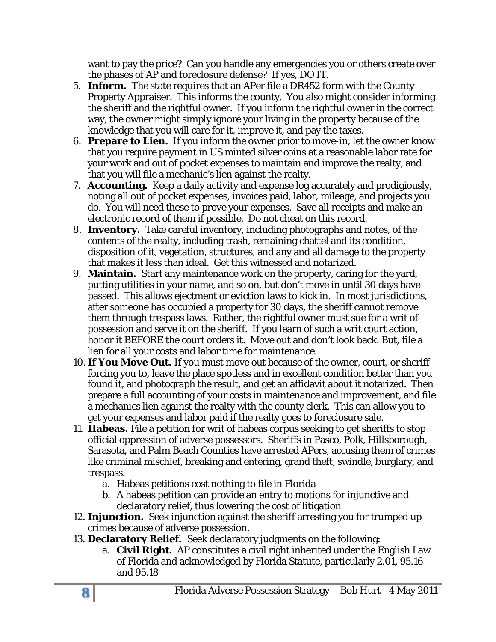want to pay the price? Can you handle any emergencies you or others create over the phases of AP and foreclosure defense? If yes, DO IT.

- 5. **Inform.** The state requires that an APer file a DR452 form with the County Property Appraiser. This informs the county. You also might consider informing the sheriff and the rightful owner. If you inform the rightful owner in the correct way, the owner might simply ignore your living in the property because of the knowledge that you will care for it, improve it, and pay the taxes.
- 6. **Prepare to Lien.** If you inform the owner prior to move-in, let the owner know that you require payment in US minted silver coins at a reasonable labor rate for your work and out of pocket expenses to maintain and improve the realty, and that you will file a mechanic's lien against the realty.
- 7. **Accounting.** Keep a daily activity and expense log accurately and prodigiously, noting all out of pocket expenses, invoices paid, labor, mileage, and projects you do. You will need these to prove your expenses. Save all receipts and make an electronic record of them if possible. Do not cheat on this record.
- 8. **Inventory.** Take careful inventory, including photographs and notes, of the contents of the realty, including trash, remaining chattel and its condition, disposition of it, vegetation, structures, and any and all damage to the property that makes it less than ideal. Get this witnessed and notarized.
- 9. **Maintain.** Start any maintenance work on the property, caring for the yard, putting utilities in your name, and so on, but don't move in until 30 days have passed. This allows ejectment or eviction laws to kick in. In most jurisdictions, after someone has occupied a property for 30 days, the sheriff cannot remove them through trespass laws. Rather, the rightful owner must sue for a writ of possession and serve it on the sheriff. If you learn of such a writ court action, honor it BEFORE the court orders it. Move out and don't look back. But, file a lien for all your costs and labor time for maintenance.
- 10. **If You Move Out.** If you must move out because of the owner, court, or sheriff forcing you to, leave the place spotless and in excellent condition better than you found it, and photograph the result, and get an affidavit about it notarized. Then prepare a full accounting of your costs in maintenance and improvement, and file a mechanics lien against the realty with the county clerk. This can allow you to get your expenses and labor paid if the realty goes to foreclosure sale.
- 11. **Habeas.** File a petition for writ of habeas corpus seeking to get sheriffs to stop official oppression of adverse possessors. Sheriffs in Pasco, Polk, Hillsborough, Sarasota, and Palm Beach Counties have arrested APers, accusing them of crimes like criminal mischief, breaking and entering, grand theft, swindle, burglary, and trespass.
	- a. Habeas petitions cost nothing to file in Florida
	- b. A habeas petition can provide an entry to motions for injunctive and declaratory relief, thus lowering the cost of litigation
- 12. **Injunction.** Seek injunction against the sheriff arresting you for trumped up crimes because of adverse possession.
- 13. **Declaratory Relief.** Seek declaratory judgments on the following:
	- a. **Civil Right.** AP constitutes a civil right inherited under the English Law of Florida and acknowledged by Florida Statute, particularly 2.01, 95.16 and 95.18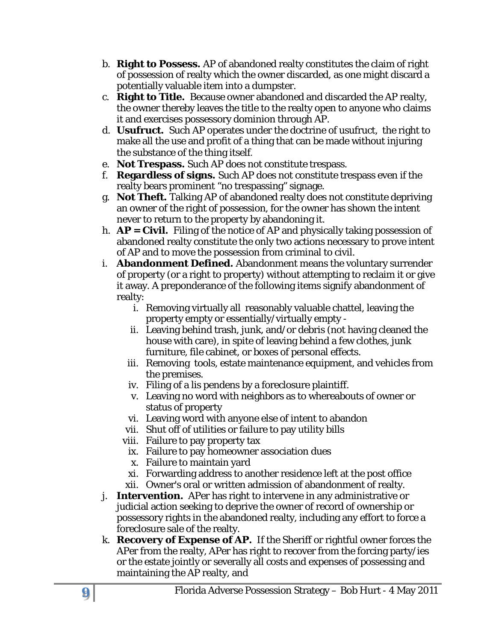- b. **Right to Possess.** AP of abandoned realty constitutes the claim of right of possession of realty which the owner discarded, as one might discard a potentially valuable item into a dumpster.
- c. **Right to Title.** Because owner abandoned and discarded the AP realty, the owner thereby leaves the title to the realty open to anyone who claims it and exercises possessory dominion through AP.
- d. **Usufruct.** Such AP operates under the doctrine of usufruct, the right to make all the use and profit of a thing that can be made without injuring the substance of the thing itself.
- e. **Not Trespass.** Such AP does not constitute trespass.
- f. **Regardless of signs.** Such AP does not constitute trespass even if the realty bears prominent "no trespassing" signage.
- g. **Not Theft.** Talking AP of abandoned realty does not constitute depriving an owner of the right of possession, for the owner has shown the intent never to return to the property by abandoning it.
- h. **AP = Civil.** Filing of the notice of AP and physically taking possession of abandoned realty constitute the only two actions necessary to prove intent of AP and to move the possession from criminal to civil.
- i. **Abandonment Defined.** Abandonment means the voluntary surrender of property (or a right to property) without attempting to reclaim it or give it away. A preponderance of the following items signify abandonment of realty:
	- i. Removing virtually all reasonably valuable chattel, leaving the property empty or essentially/virtually empty -
	- ii. Leaving behind trash, junk, and/or debris (not having cleaned the house with care), in spite of leaving behind a few clothes, junk furniture, file cabinet, or boxes of personal effects.
	- iii. Removing tools, estate maintenance equipment, and vehicles from the premises.
	- iv. Filing of a lis pendens by a foreclosure plaintiff.
	- v. Leaving no word with neighbors as to whereabouts of owner or status of property
	- vi. Leaving word with anyone else of intent to abandon
	- vii. Shut off of utilities or failure to pay utility bills
	- viii. Failure to pay property tax
		- ix. Failure to pay homeowner association dues
		- x. Failure to maintain yard
	- xi. Forwarding address to another residence left at the post office xii. Owner's oral or written admission of abandonment of realty.
- j. **Intervention.** APer has right to intervene in any administrative or judicial action seeking to deprive the owner of record of ownership or possessory rights in the abandoned realty, including any effort to force a foreclosure sale of the realty.
- k. **Recovery of Expense of AP.** If the Sheriff or rightful owner forces the APer from the realty, APer has right to recover from the forcing party/ies or the estate jointly or severally all costs and expenses of possessing and maintaining the AP realty, and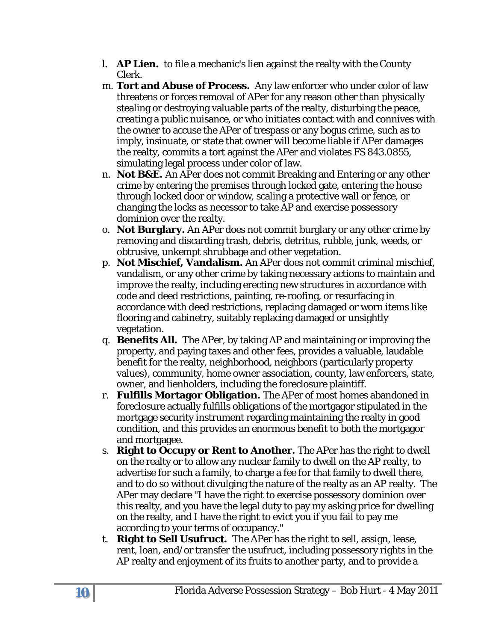- l. **AP Lien.** to file a mechanic's lien against the realty with the County Clerk.
- m. **Tort and Abuse of Process.** Any law enforcer who under color of law threatens or forces removal of APer for any reason other than physically stealing or destroying valuable parts of the realty, disturbing the peace, creating a public nuisance, or who initiates contact with and connives with the owner to accuse the APer of trespass or any bogus crime, such as to imply, insinuate, or state that owner will become liable if APer damages the realty, commits a tort against the APer and violates FS 843.0855, simulating legal process under color of law.
- n. **Not B&E.** An APer does not commit Breaking and Entering or any other crime by entering the premises through locked gate, entering the house through locked door or window, scaling a protective wall or fence, or changing the locks as necessor to take AP and exercise possessory dominion over the realty.
- o. **Not Burglary.** An APer does not commit burglary or any other crime by removing and discarding trash, debris, detritus, rubble, junk, weeds, or obtrusive, unkempt shrubbage and other vegetation.
- p. **Not Mischief, Vandalism.** An APer does not commit criminal mischief, vandalism, or any other crime by taking necessary actions to maintain and improve the realty, including erecting new structures in accordance with code and deed restrictions, painting, re-roofing, or resurfacing in accordance with deed restrictions, replacing damaged or worn items like flooring and cabinetry, suitably replacing damaged or unsightly vegetation.
- q. **Benefits All.** The APer, by taking AP and maintaining or improving the property, and paying taxes and other fees, provides a valuable, laudable benefit for the realty, neighborhood, neighbors (particularly property values), community, home owner association, county, law enforcers, state, owner, and lienholders, including the foreclosure plaintiff.
- r. **Fulfills Mortagor Obligation.** The APer of most homes abandoned in foreclosure actually fulfills obligations of the mortgagor stipulated in the mortgage security instrument regarding maintaining the realty in good condition, and this provides an enormous benefit to both the mortgagor and mortgagee.
- s. **Right to Occupy or Rent to Another.** The APer has the right to dwell on the realty or to allow any nuclear family to dwell on the AP realty, to advertise for such a family, to charge a fee for that family to dwell there, and to do so without divulging the nature of the realty as an AP realty. The APer may declare "I have the right to exercise possessory dominion over this realty, and you have the legal duty to pay my asking price for dwelling on the realty, and I have the right to evict you if you fail to pay me according to your terms of occupancy."
- t. **Right to Sell Usufruct.** The APer has the right to sell, assign, lease, rent, loan, and/or transfer the usufruct, including possessory rights in the AP realty and enjoyment of its fruits to another party, and to provide a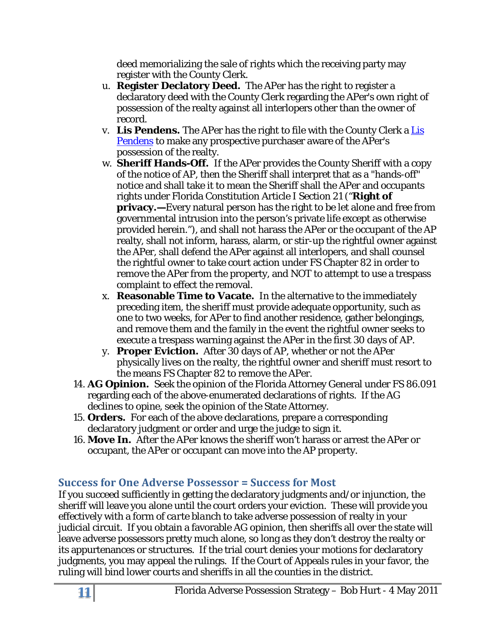deed memorializing the sale of rights which the receiving party may register with the County Clerk.

- u. **Register Declatory Deed.** The APer has the right to register a declaratory deed with the County Clerk regarding the APer's own right of possession of the realty against all interlopers other than the owner of record.
- v. **Lis Pendens.** The APer has the right to file with the County Clerk a [Lis](http://leg.state.fl.us/Statutes/index.cfm?App_mode=Display_Statute&Search_String=&URL=0000-0099/0048/Sections/0048.23.html)  [Pendens](http://leg.state.fl.us/Statutes/index.cfm?App_mode=Display_Statute&Search_String=&URL=0000-0099/0048/Sections/0048.23.html) to make any prospective purchaser aware of the APer's possession of the realty.
- w. **Sheriff Hands-Off.** If the APer provides the County Sheriff with a copy of the notice of AP, then the Sheriff shall interpret that as a "hands-off" notice and shall take it to mean the Sheriff shall the APer and occupants rights under Florida Constitution Article I Section 21 ("**Right of privacy.—**Every natural person has the right to be let alone and free from governmental intrusion into the person's private life except as otherwise provided herein."), and shall not harass the APer or the occupant of the AP realty, shall not inform, harass, alarm, or stir-up the rightful owner against the APer, shall defend the APer against all interlopers, and shall counsel the rightful owner to take court action under FS Chapter 82 in order to remove the APer from the property, and NOT to attempt to use a trespass complaint to effect the removal.
- x. **Reasonable Time to Vacate.** In the alternative to the immediately preceding item, the sheriff must provide adequate opportunity, such as one to two weeks, for APer to find another residence, gather belongings, and remove them and the family in the event the rightful owner seeks to execute a trespass warning against the APer in the first 30 days of AP.
- y. **Proper Eviction.** After 30 days of AP, whether or not the APer physically lives on the realty, the rightful owner and sheriff must resort to the means FS Chapter 82 to remove the APer.
- 14. **AG Opinion.** Seek the opinion of the Florida Attorney General under FS 86.091 regarding each of the above-enumerated declarations of rights. If the AG declines to opine, seek the opinion of the State Attorney.
- 15. **Orders.** For each of the above declarations, prepare a corresponding declaratory judgment or order and urge the judge to sign it.
- 16. **Move In.** After the APer knows the sheriff won't harass or arrest the APer or occupant, the APer or occupant can move into the AP property.

# <span id="page-10-0"></span>**Success for One Adverse Possessor = Success for Most**

If you succeed sufficiently in getting the declaratory judgments and/or injunction, the sheriff will leave you alone until the court orders your eviction. These will provide you effectively with a form of *carte blanch* to take adverse possession of realty in your judicial circuit. If you obtain a favorable AG opinion, then sheriffs all over the state will leave adverse possessors pretty much alone, so long as they don't destroy the realty or its appurtenances or structures. If the trial court denies your motions for declaratory judgments, you may appeal the rulings. If the Court of Appeals rules in your favor, the ruling will bind lower courts and sheriffs in all the counties in the district.